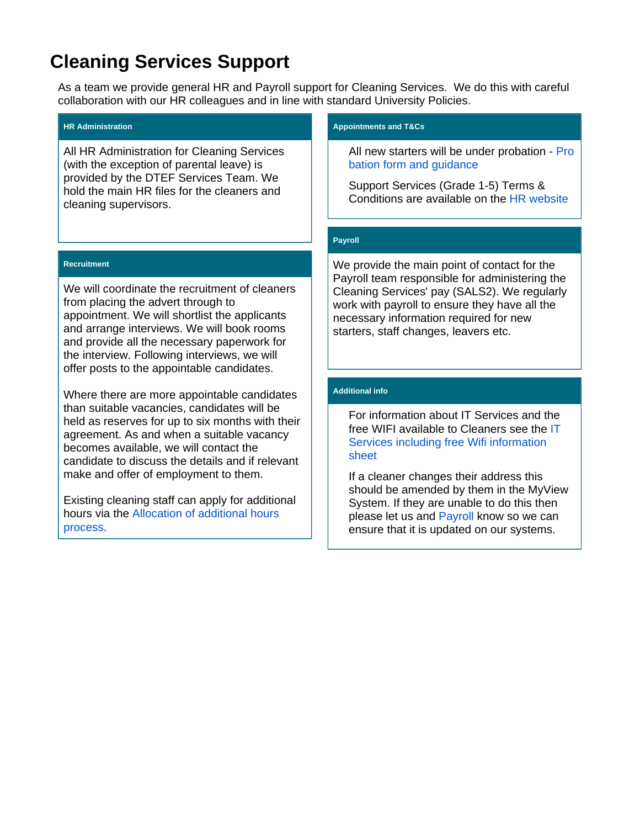# **Cleaning Services Support**

As a team we provide general HR and Payroll support for Cleaning Services. We do this with careful collaboration with our HR colleagues and in line with standard University Policies.

#### **HR Administration**

All HR Administration for Cleaning Services (with the exception of parental leave) is provided by the DTEF Services Team. We hold the main HR files for the cleaners and cleaning supervisors.

#### **Recruitment**

We will coordinate the recruitment of cleaners from placing the advert through to appointment. We will shortlist the applicants and arrange interviews. We will book rooms and provide all the necessary paperwork for the interview. Following interviews, we will offer posts to the appointable candidates.

Where there are more appointable candidates than suitable vacancies, candidates will be held as reserves for up to six months with their agreement. As and when a suitable vacancy becomes available, we will contact the candidate to discuss the details and if relevant make and offer of employment to them.

Existing cleaning staff can apply for additional hours via the [Allocation of additional hours](https://wiki.york.ac.uk/download/attachments/181045756/Recruitment%20Procedure%20DS006%20v2%20-%20internal%20cleaners%20additional%20hours.docx?version=1&modificationDate=1602849656000&api=v2)  [process](https://wiki.york.ac.uk/download/attachments/181045756/Recruitment%20Procedure%20DS006%20v2%20-%20internal%20cleaners%20additional%20hours.docx?version=1&modificationDate=1602849656000&api=v2).

#### **Appointments and T&Cs**

All new starters will be under probation - [Pro](https://wiki.york.ac.uk/download/attachments/181045756/NEW%20STYLE%20probationary_review%20form%20and%20instructions.doc?version=1&modificationDate=1591011760000&api=v2) [bation form and guidance](https://wiki.york.ac.uk/download/attachments/181045756/NEW%20STYLE%20probationary_review%20form%20and%20instructions.doc?version=1&modificationDate=1591011760000&api=v2)

Support Services (Grade 1-5) Terms & Conditions are available on the [HR website](https://www.york.ac.uk/admin/hr/browse/contracts-and-appointments/terms-and-conditions)

## **Payroll**

We provide the main point of contact for the Payroll team responsible for administering the Cleaning Services' pay (SALS2). We regularly work with payroll to ensure they have all the necessary information required for new starters, staff changes, leavers etc.

## **Additional info**

For information about IT Services and the free WIFI available to Cleaners see the [IT](https://wiki.york.ac.uk/download/attachments/181045756/Cleaning%20Services%20change%20form%20v5.docx?version=1&modificationDate=1592493662000&api=v2)  [Services including free Wifi information](https://wiki.york.ac.uk/download/attachments/181045756/Cleaning%20Services%20change%20form%20v5.docx?version=1&modificationDate=1592493662000&api=v2)  [sheet](https://wiki.york.ac.uk/download/attachments/181045756/Cleaning%20Services%20change%20form%20v5.docx?version=1&modificationDate=1592493662000&api=v2)

If a cleaner changes their address this should be amended by them in the MyView System. If they are unable to do this then please let us and [Payroll](mailto:sals2-payroll@york.ac.uk) know so we can ensure that it is updated on our systems.